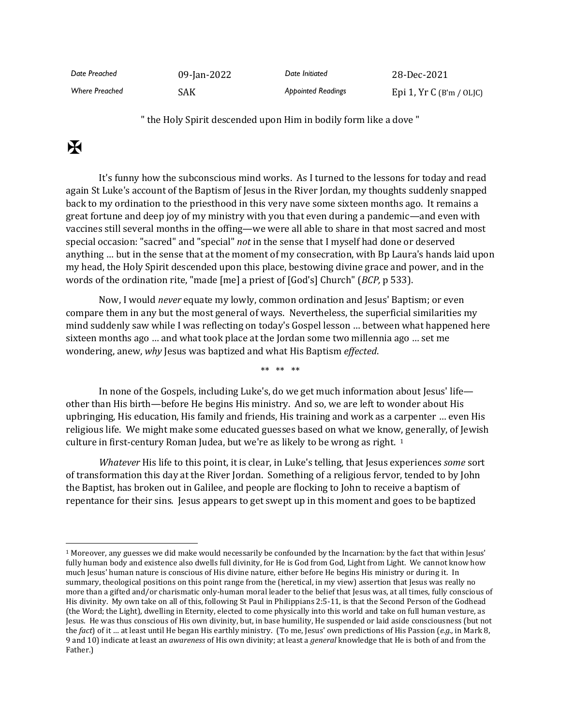| Date Preached         | 09-Jan-2022 | Date Initiated            | 28-Dec-2021                |
|-----------------------|-------------|---------------------------|----------------------------|
| <b>Where Preached</b> | SAK         | <b>Appointed Readings</b> | Epi 1, $Yr C$ (B'm / OLJC) |

" the Holy Spirit descended upon Him in bodily form like a dove "

## $\mathbf K$

It's funny how the subconscious mind works. As I turned to the lessons for today and read again St Luke's account of the Baptism of Jesus in the River Jordan, my thoughts suddenly snapped back to my ordination to the priesthood in this very nave some sixteen months ago. It remains a great fortune and deep joy of my ministry with you that even during a pandemic—and even with vaccines still several months in the offing—we were all able to share in that most sacred and most special occasion: "sacred" and "special" *not* in the sense that I myself had done or deserved anything … but in the sense that at the moment of my consecration, with Bp Laura's hands laid upon my head, the Holy Spirit descended upon this place, bestowing divine grace and power, and in the words of the ordination rite, "made [me] a priest of [God's] Church" (*BCP,* p 533).

Now, I would *never* equate my lowly, common ordination and Jesus' Baptism; or even compare them in any but the most general of ways. Nevertheless, the superficial similarities my mind suddenly saw while I was reflecting on today's Gospel lesson … between what happened here sixteen months ago … and what took place at the Jordan some two millennia ago … set me wondering, anew, *why* Jesus was baptized and what His Baptism *effected*.

\*\* \*\* \*\*

In none of the Gospels, including Luke's, do we get much information about Jesus' life other than His birth—before He begins His ministry. And so, we are left to wonder about His upbringing, His education, His family and friends, His training and work as a carpenter … even His religious life. We might make some educated guesses based on what we know, generally, of Jewish culture in first-century Roman Judea, but we're as likely to be wrong as right. 1

*Whatever* His life to this point, it is clear, in Luke's telling, that Jesus experiences *some* sort of transformation this day at the River Jordan. Something of a religious fervor, tended to by John the Baptist, has broken out in Galilee, and people are flocking to John to receive a baptism of repentance for their sins. Jesus appears to get swept up in this moment and goes to be baptized

<sup>1</sup> Moreover, any guesses we did make would necessarily be confounded by the Incarnation: by the fact that within Jesus' fully human body and existence also dwells full divinity, for He is God from God, Light from Light. We cannot know how much Jesus' human nature is conscious of His divine nature, either before He begins His ministry or during it. In summary, theological positions on this point range from the (heretical, in my view) assertion that Jesus was really no more than a gifted and/or charismatic only-human moral leader to the belief that Jesus was, at all times, fully conscious of His divinity. My own take on all of this, following St Paul in Philippians 2:5-11, is that the Second Person of the Godhead (the Word; the Light), dwelling in Eternity, elected to come physically into this world and take on full human vesture, as Jesus. He was thus conscious of His own divinity, but, in base humility, He suspended or laid aside consciousness (but not the *fact*) of it … at least until He began His earthly ministry. (To me, Jesus' own predictions of His Passion (*e.g.,* in Mark 8, 9 and 10) indicate at least an *awareness* of His own divinity; at least a *general* knowledge that He is both of and from the Father.)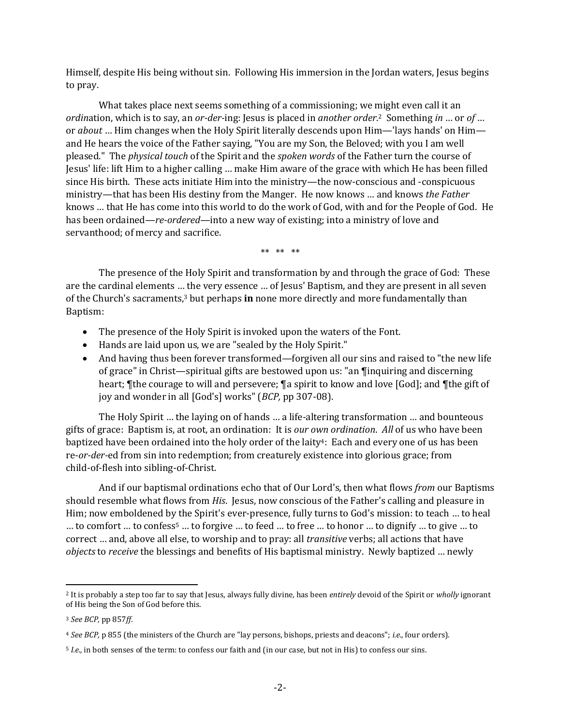Himself, despite His being without sin. Following His immersion in the Jordan waters, Jesus begins to pray.

What takes place next seems something of a commissioning; we might even call it an *ordin*ation, which is to say, an *or-der-*ing: Jesus is placed in *another order*. <sup>2</sup> Something *in* … or *of* … or *about* … Him changes when the Holy Spirit literally descends upon Him—'lays hands' on Him and He hears the voice of the Father saying, "You are my Son, the Beloved; with you I am well pleased." The *physical touch* of the Spirit and the *spoken words* of the Father turn the course of Jesus' life: lift Him to a higher calling … make Him aware of the grace with which He has been filled since His birth. These acts initiate Him into the ministry—the now-conscious and -conspicuous ministry—that has been His destiny from the Manger. He now knows … and knows *the Father* knows … that He has come into this world to do the work of God, with and for the People of God. He has been ordained—*re-ordered*—into a new way of existing; into a ministry of love and servanthood; of mercy and sacrifice.

\*\* \*\* \*\*

The presence of the Holy Spirit and transformation by and through the grace of God: These are the cardinal elements … the very essence … of Jesus' Baptism, and they are present in all seven of the Church's sacraments,<sup>3</sup> but perhaps **in** none more directly and more fundamentally than Baptism:

- The presence of the Holy Spirit is invoked upon the waters of the Font.
- Hands are laid upon us, we are "sealed by the Holy Spirit."
- And having thus been forever transformed—forgiven all our sins and raised to "the new life of grace" in Christ—spiritual gifts are bestowed upon us: "an ¶inquiring and discerning heart; ¶the courage to will and persevere; ¶a spirit to know and love [God]; and ¶the gift of joy and wonder in all [God's] works" (*BCP,* pp 307-08).

The Holy Spirit … the laying on of hands … a life-altering transformation … and bounteous gifts of grace: Baptism is, at root, an ordination: It is *our own ordination*. *All* of us who have been baptized have been ordained into the holy order of the laity<sup>4</sup>: Each and every one of us has been re-*or-der-*ed from sin into redemption; from creaturely existence into glorious grace; from child-of-flesh into sibling-of-Christ.

And if our baptismal ordinations echo that of Our Lord's, then what flows *from* our Baptisms should resemble what flows from *His*. Jesus, now conscious of the Father's calling and pleasure in Him; now emboldened by the Spirit's ever-presence, fully turns to God's mission: to teach … to heal … to comfort … to confess<sup>5</sup> … to forgive … to feed … to free … to honor … to dignify … to give … to correct … and, above all else, to worship and to pray: all *transitive* verbs; all actions that have *objects* to *receive* the blessings and benefits of His baptismal ministry. Newly baptized … newly

<sup>2</sup> It is probably a step too far to say that Jesus, always fully divine, has been *entirely* devoid of the Spirit or *wholly* ignorant of His being the Son of God before this.

<sup>3</sup> *See BCP,* pp 857*ff*.

<sup>4</sup> *See BCP,* p 855 (the ministers of the Church are "lay persons, bishops, priests and deacons"; *i.e.,* four orders).

<sup>5</sup> *I.e.,* in both senses of the term: to confess our faith and (in our case, but not in His) to confess our sins.